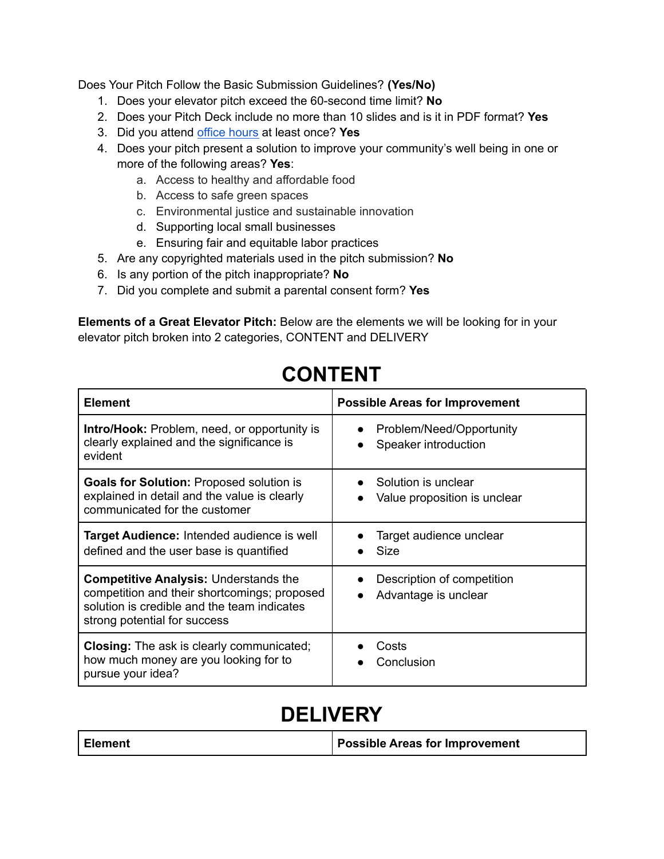Does Your Pitch Follow the Basic Submission Guidelines? **(Yes/No)**

- 1. Does your elevator pitch exceed the 60-second time limit? **No**
- 2. Does your Pitch Deck include no more than 10 slides and is it in PDF format? **Yes**
- 3. Did you attend office [hours](https://calendly.com/bloomcatch/seeds-for-change-office-hours?month=2022-03) at least once? **Yes**
- 4. Does your pitch present a solution to improve your community's well being in one or more of the following areas? **Yes**:
	- a. Access to healthy and affordable food
	- b. Access to safe green spaces
	- c. Environmental justice and sustainable innovation
	- d. Supporting local small businesses
	- e. Ensuring fair and equitable labor practices
- 5. Are any copyrighted materials used in the pitch submission? **No**
- 6. Is any portion of the pitch inappropriate? **No**
- 7. Did you complete and submit a parental consent form? **Yes**

**Elements of a Great Elevator Pitch:** Below are the elements we will be looking for in your elevator pitch broken into 2 categories, CONTENT and DELIVERY

## **CONTENT**

| <b>Element</b>                                                                                                                                                              | <b>Possible Areas for Improvement</b>               |
|-----------------------------------------------------------------------------------------------------------------------------------------------------------------------------|-----------------------------------------------------|
| <b>Intro/Hook:</b> Problem, need, or opportunity is<br>clearly explained and the significance is<br>evident                                                                 | Problem/Need/Opportunity<br>Speaker introduction    |
| <b>Goals for Solution: Proposed solution is</b><br>explained in detail and the value is clearly<br>communicated for the customer                                            | Solution is unclear<br>Value proposition is unclear |
| <b>Target Audience: Intended audience is well</b><br>defined and the user base is quantified                                                                                | Target audience unclear<br><b>Size</b>              |
| <b>Competitive Analysis: Understands the</b><br>competition and their shortcomings; proposed<br>solution is credible and the team indicates<br>strong potential for success | Description of competition<br>Advantage is unclear  |
| Closing: The ask is clearly communicated;<br>how much money are you looking for to<br>pursue your idea?                                                                     | Costs<br>Conclusion                                 |

## **DELIVERY**

| Element | <b>Possible Areas for Improvement</b> |
|---------|---------------------------------------|
|---------|---------------------------------------|